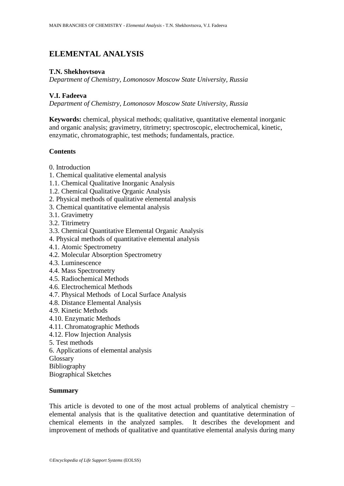# **ELEMENTAL ANALYSIS**

## **T.N. Shekhovtsova**

*Department of Chemistry, Lomonosov Moscow State University, Russia*

# **V.I. Fadeeva**

*Department of Chemistry, Lomonosov Moscow State University, Russia*

**Keywords:** chemical, physical methods; qualitative, quantitative elemental inorganic and organic analysis; gravimetry, titrimetry; spectroscopic, electrochemical, kinetic, enzymatic, chromatographic, test methods; fundamentals, practice.

# **Contents**

- 0. Introduction
- 1. Chemical qualitative elemental analysis
- 1.1. Chemical Qualitative Inorganic Analysis
- 1.2. Chemical Qualitative Qrganic Analysis
- 2. Physical methods of qualitative elemental analysis
- 3. Chemical quantitative elemental analysis
- 3.1. Gravimetry
- 3.2. Titrimetry
- 3.3. Chemical Quantitative Elemental Organic Analysis
- 4. Physical methods of quantitative elemental analysis
- 4.1. Atomic Spectrometry
- 4.2. Molecular Absorption Spectrometry
- 4.3. Luminescence
- 4.4. Mass Spectrometry
- 4.5. Radiochemical Methods
- 4.6. Electrochemical Methods
- 4.7. Physical Methods of Local Surface Analysis
- 4.8. Distance Elemental Analysis
- 4.9. Kinetic Methods
- 4.10. Enzymatic Methods
- 4.11. Chromatographic Methods
- 4.12. Flow Injection Analysis
- 5. Test methods
- 6. Applications of elemental analysis
- Glossary
- Bibliography

Biographical Sketches

### **Summary**

This article is devoted to one of the most actual problems of analytical chemistry – elemental analysis that is the qualitative detection and quantitative determination of chemical elements in the analyzed samples. It describes the development and improvement of methods of qualitative and quantitative elemental analysis during many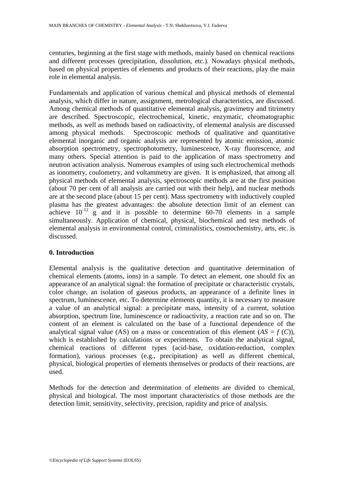centuries, beginning at the first stage with methods, mainly based on chemical reactions and different processes (precipitation, dissolution, etc.). Nowadays physical methods, based on physical properties of elements and products of their reactions, play the main role in elemental analysis.

Fundamentals and application of various chemical and physical methods of elemental analysis, which differ in nature, assignment, metrological characteristics, are discussed. Among chemical methods of quantitative elemental analysis, gravimetry and titrimetry are described. Spectroscopic, electrochemical, kinetic, enzymatic, chromatographic methods, as well as methods based on radioactivity, of elemental analysis are discussed among physical methods. Spectroscopic methods of qualitative and quantitative elemental inorganic and organic analysis are represented by atomic emission, atomic absorption spectrometry, spectrophotometry, luminescence, X-ray fluorescence, and many others. Special attention is paid to the application of mass spectrometry and neutron activation analysis. Numerous examples of using such electrochemical methods as ionometry, coulometry, and voltammetry are given. It is emphasized, that among all physical methods of elemental analysis, spectroscopic methods are at the first position (about 70 per cent of all analysis are carried out with their help), and nuclear methods are at the second place (about 15 per cent). Mass spectrometry with inductively coupled plasma has the greatest advantages: the absolute detection limit of an element can achieve  $10^{-12}$  g and it is possible to determine 60-70 elements in a sample simultaneously. Application of chemical, physical, biochemical and test methods of elemental analysis in environmental control, criminalistics, cosmochemistry, arts, etc. is discussed.

### **0. Introduction**

Elemental analysis is the qualitative detection and quantitative determination of chemical elements (atoms, ions) in a sample. To detect an element, one should fix an appearance of an analytical signal: the formation of precipitate or characteristic crystals, color change, an isolation of gaseous products, an appearance of a definite lines in spectrum, luminescence, etc. To determine elements quantity, it is necessary to measure a value of an analytical signal: a precipitate mass, intensity of a current, solution absorption, spectrum line, luminescence or radioactivity, a reaction rate and so on. The content of an element is calculated on the base of a functional dependence of the analytical signal value (AS) on a mass or concentration of this element  $(AS = f(C))$ , which is established by calculations or experiments. To obtain the analytical signal, chemical reactions of different types (acid-base, oxidation-reduction, complex formation), various processes (e.g., precipitation) as well as different chemical, physical, biological properties of elements themselves or products of their reactions, are used.

Methods for the detection and determination of elements are divided to chemical, physical and biological. The most important characteristics of those methods are the detection limit, sensitivity, selectivity, precision, rapidity and price of analysis.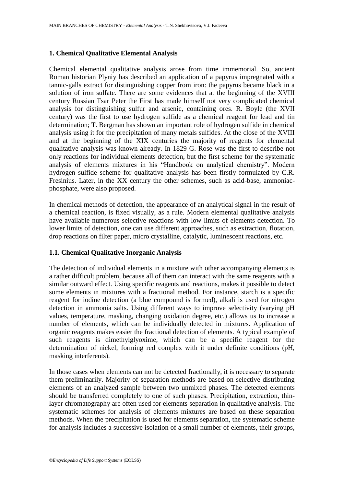# **1. Chemical Qualitative Elemental Analysis**

Chemical elemental qualitative analysis arose from time immemorial. So, ancient Roman historian Plyniy has described an application of a papyrus impregnated with a tannic-galls extract for distinguishing copper from iron: the papyrus became black in a solution of iron sulfate. There are some evidences that at the beginning of the XVIII century Russian Tsar Peter the First has made himself not very complicated chemical analysis for distinguishing sulfur and arsenic, containing ores. R. Boyle (the XVII century) was the first to use hydrogen sulfide as a chemical reagent for lead and tin determination; T. Bergman has shown an important role of hydrogen sulfide in chemical analysis using it for the precipitation of many metals sulfides. At the close of the XVIII and at the beginning of the XIX centuries the majority of reagents for elemental qualitative analysis was known already. In 1829 G. Rose was the first to describe not only reactions for individual elements detection, but the first scheme for the systematic analysis of elements mixtures in his "Handbook on analytical chemistry". Modern hydrogen sulfide scheme for qualitative analysis has been firstly formulated by C.R. Fresinius. Later, in the XX century the other schemes, such as acid-base, ammoniacphosphate, were also proposed.

In chemical methods of detection, the appearance of an analytical signal in the result of a chemical reaction, is fixed visually, as a rule. Modern elemental qualitative analysis have available numerous selective reactions with low limits of elements detection. To lower limits of detection, one can use different approaches, such as extraction, flotation, drop reactions on filter paper, micro crystalline, catalytic, luminescent reactions, etc.

### **1.1. Chemical Qualitative Inorganic Analysis**

The detection of individual elements in a mixture with other accompanying elements is a rather difficult problem, because all of them can interact with the same reagents with a similar outward effect. Using specific reagents and reactions, makes it possible to detect some elements in mixtures with a fractional method. For instance, starch is a specific reagent for iodine detection (a blue compound is formed), alkali is used for nitrogen detection in ammonia salts. Using different ways to improve selectivity (varying pH values, temperature, masking, changing oxidation degree, etc.) allows us to increase a number of elements, which can be individually detected in mixtures. Application of organic reagents makes easier the fractional detection of elements. A typical example of such reagents is dimethylglyoxime, which can be a specific reagent for the determination of nickel, forming red complex with it under definite conditions (pH, masking interferents).

In those cases when elements can not be detected fractionally, it is necessary to separate them preliminarily. Majority of separation methods are based on selective distributing elements of an analyzed sample between two unmixed phases. The detected elements should be transferred completely to one of such phases. Precipitation, extraction, thinlayer chromatography are often used for elements separation in qualitative analysis. The systematic schemes for analysis of elements mixtures are based on these separation methods. When the precipitation is used for elements separation, the systematic scheme for analysis includes a successive isolation of a small number of elements, their groups,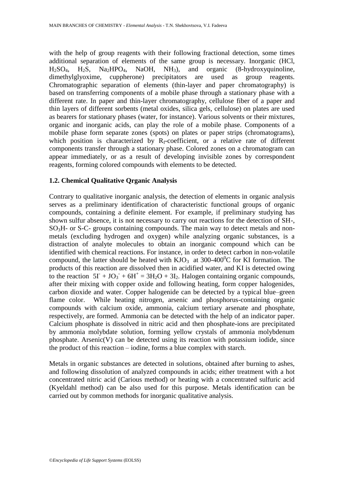with the help of group reagents with their following fractional detection, some times additional separation of elements of the same group is necessary. Inorganic (HCl,  $H_2SO_4$ ,  $H_2S$ ,  $Na_2HPO_4$ ,  $NaOH$ ,  $NH_3$ ), and organic (8-hydroxyquinoline, dimethylglyoxime, cuppherone) precipitators are used as group reagents. Chromatographic separation of elements (thin-layer and paper chromatography) is based on transferring components of a mobile phase through a stationary phase with a different rate. In paper and thin-layer chromatography, cellulose fiber of a paper and thin layers of different sorbents (metal oxides, silica gels, cellulose) on plates are used as bearers for stationary phases (water, for instance). Various solvents or their mixtures, organic and inorganic acids, can play the role of a mobile phase. Components of a mobile phase form separate zones (spots) on plates or paper strips (chromatograms), which position is characterized by  $R_f$ -coefficient, or a relative rate of different components transfer through a stationary phase. Colored zones on a chromatogram can appear immediately, or as a result of developing invisible zones by correspondent reagents, forming colored compounds with elements to be detected.

### **1.2. Chemical Qualitative Qrganic Analysis**

Contrary to qualitative inorganic analysis, the detection of elements in organic analysis serves as a preliminary identification of characteristic functional groups of organic compounds, containing a definite element. For example, if preliminary studying has shown sulfur absence, it is not necessary to carry out reactions for the detection of SH-, SO3H- or S-C- groups containing compounds. The main way to detect metals and nonmetals (excluding hydrogen and oxygen) while analyzing organic substances, is a distraction of analyte molecules to obtain an inorganic compound which can be identified with chemical reactions. For instance, in order to detect carbon in non-volatile compound, the latter should be heated with  $KJO_3$  at 300-400<sup>0</sup>C for KI formation. The products of this reaction are dissolved then in acidified water, and KI is detected owing to the reaction  $5I + JO_3 + 6H^+ = 3H_2O + 3I_2$ . Halogen containing organic compounds, after their mixing with copper oxide and following heating, form copper halogenides, carbon dioxide and water. Copper halogenide can be detected by a typical blue–green flame color. While heating nitrogen, arsenic and phosphorus-containing organic compounds with calcium oxide, ammonia, calcium tertiary arsenate and phosphate, respectively, are formed. Ammonia can be detected with the help of an indicator paper. Calcium phosphate is dissolved in nitric acid and then phosphate-ions are precipitated by ammonia molybdate solution, forming yellow crystals of ammonia molybdenum phosphate. Arsenic(V) can be detected using its reaction with potassium iodide, since the product of this reaction – iodine, forms a blue complex with starch.

Metals in organic substances are detected in solutions, obtained after burning to ashes, and following dissolution of analyzed compounds in acids; either treatment with a hot concentrated nitric acid (Carious method) or heating with a concentrated sulfuric acid (Kyeldahl method) can be also used for this purpose. Metals identification can be carried out by common methods for inorganic qualitative analysis.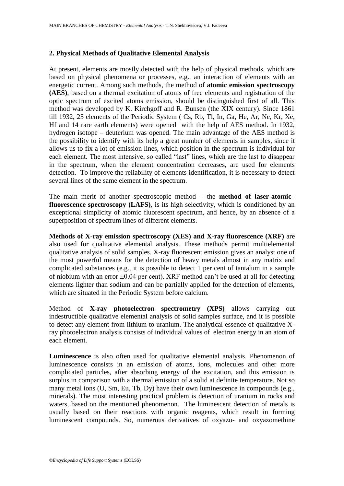# **2. Physical Methods of Qualitative Elemental Analysis**

At present, elements are mostly detected with the help of physical methods, which are based on physical phenomena or processes, e.g., an interaction of elements with an energetic current. Among such methods, the method of **atomic emission spectroscopy (AES)**, based on a thermal excitation of atoms of free elements and registration of the optic spectrum of excited atoms emission, should be distinguished first of all. This method was developed by K. Kirchgoff and R. Bunsen (the XIX century). Since 1861 till 1932, 25 elements of the Periodic System ( Cs, Rb, Tl, In, Ga, He, Ar, Ne, Kr, Xe, Hf and 14 rare earth elements) were opened with the help of AES method. In 1932, hydrogen isotope – deuterium was opened. The main advantage of the AES method is the possibility to identify with its help a great number of elements in samples, since it allows us to fix a lot of emission lines, which position in the spectrum is individual for each element. The most intensive, so called "last" lines, which are the last to disappear in the spectrum, when the element concentration decreases, are used for elements detection. To improve the reliability of elements identification, it is necessary to detect several lines of the same element in the spectrum.

The main merit of another spectroscopic method – the **method of laser-atomic– fluorescence spectroscopy (LAFS),** is its high selectivity, which is conditioned by an exceptional simplicity of atomic fluorescent spectrum, and hence, by an absence of a superposition of spectrum lines of different elements.

**Methods of X-ray emission spectroscopy (XES) and X-ray fluorescence (XRF)** are also used for qualitative elemental analysis. These methods permit multielemental qualitative analysis of solid samples. X-ray fluorescent emission gives an analyst one of the most powerful means for the detection of heavy metals almost in any matrix and complicated substances (e.g., it is possible to detect 1 per cent of tantalum in a sample of niobium with an error  $\pm 0.04$  per cent). XRF method can't be used at all for detecting elements lighter than sodium and can be partially applied for the detection of elements, which are situated in the Periodic System before calcium.

Method of **X-ray photoelectron spectrometry (XPS)** allows carrying out indestructible qualitative elemental analysis of solid samples surface, and it is possible to detect any element from lithium to uranium. The analytical essence of qualitative Xray photoelectron analysis consists of individual values of electron energy in an atom of each element.

**Luminescence** is also often used for qualitative elemental analysis. Phenomenon of luminescence consists in an emission of atoms, ions, molecules and other more complicated particles, after absorbing energy of the excitation, and this emission is surplus in comparison with a thermal emission of a solid at definite temperature. Not so many metal ions (U, Sm, Eu, Tb, Dy) have their own luminescence in compounds (e.g., minerals). The most interesting practical problem is detection of uranium in rocks and waters, based on the mentioned phenomenon. The luminescent detection of metals is usually based on their reactions with organic reagents, which result in forming luminescent compounds. So, numerous derivatives of oxyazo- and oxyazomethine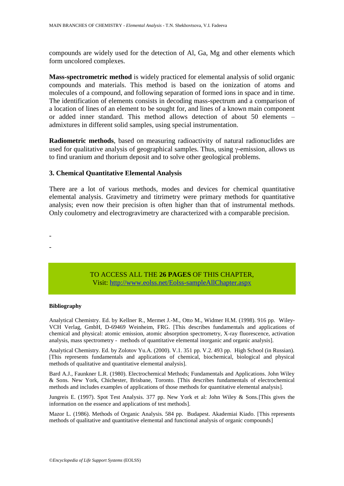compounds are widely used for the detection of Al, Ga, Mg and other elements which form uncolored complexes.

**Mass-spectrometric method** is widely practiced for elemental analysis of solid organic compounds and materials. This method is based on the ionization of atoms and molecules of a compound, and following separation of formed ions in space and in time. The identification of elements consists in decoding mass-spectrum and a comparison of a location of lines of an element to be sought for, and lines of a known main component or added inner standard. This method allows detection of about 50 elements – admixtures in different solid samples, using special instrumentation.

**Radiometric methods**, based on measuring radioactivity of natural radionuclides are used for qualitative analysis of geographical samples. Thus, using  $\gamma$ -emission, allows us to find uranium and thorium deposit and to solve other geological problems.

## **3. Chemical Quantitative Elemental Analysis**

There are a lot of various methods, modes and devices for chemical quantitative elemental analysis. Gravimetry and titrimetry were primary methods for quantitative analysis; even now their precision is often higher than that of instrumental methods. Only coulometry and electrogravimetry are characterized with a comparable precision.

> TO ACCESS ALL THE **26 PAGES** OF THIS CHAPTER, Visit[: http://www.eolss.net/Eolss-sampleAllChapter.aspx](https://www.eolss.net/ebooklib/sc_cart.aspx?File=E6-12B-01-02)

#### **Bibliography**

- -

Analytical Chemistry. Ed. by Kellner R., Mermet J.-M., Otto M., Widmer H.M. (1998). 916 pp. Wiley-VCH Verlag, GmbH, D-69469 Weinheim, FRG. [This describes fundamentals and applications of chemical and physical: atomic emission, atomic absorption spectrometry, X-ray fluorescence, activation analysis, mass spectrometry - methods of quantitative elemental inorganic and organic analysis].

Analytical Chemistry. Ed. by Zolotov Yu.A. (2000). V.1. 351 pp. V.2. 493 pp. High School (in Russian). [This represents fundamentals and applications of chemical, biochemical, biological and physical methods of qualitative and quantitative elemental analysis].

Bard A.J., Faunkner L.R. (1980). Electrochemical Methods; Fundamentals and Applications. John Wiley & Sons. New York, Chichester, Brisbane, Toronto. [This describes fundamentals of electrochemical methods and includes examples of applications of those methods for quantitative elemental analysis].

Jungreis E. (1997). Spot Test Analysis. 377 pp. New York et al: John Wiley & Sons.[This gives the information on the essence and applications of test methods].

Mazor L. (1986). Methods of Organic Analysis. 584 pp. Budapest. Akademiai Kiado. [This represents methods of qualitative and quantitative elemental and functional analysis of organic compounds]